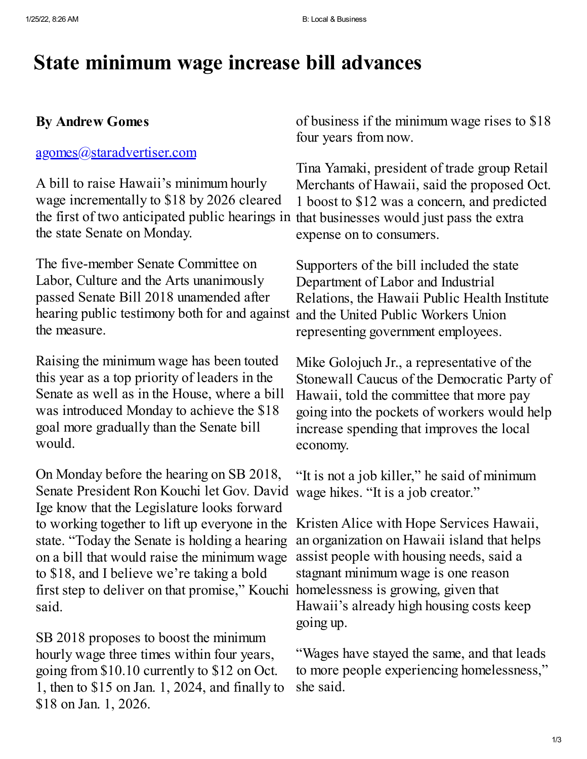# **State minimum wage increase bill advances**

## **By Andrew Gomes**

### [agomes@staradvertiser.com](mailto:agomes@staradvertiser.com)

A bill to raise Hawaii's minimum hourly wage incrementally to \$18 by 2026 cleared the first of two anticipated public hearings in that businesses would just pass the extra the state Senate on Monday.

The five-member Senate Committee on Labor, Culture and the Arts unanimously passed Senate Bill 2018 unamended after hearing public testimony both for and against the measure.

Raising the minimum wage has been touted this year as a top priority of leaders in the Senate as well as in the House, where a bill was introduced Monday to achieve the \$18 goal more gradually than the Senate bill would.

On Monday before the hearing on SB 2018, Senate President Ron Kouchi let Gov. David Ige know that the Legislature looks forward to working together to lift up everyone in the Kristen Alice with Hope Services Hawaii, state. "Today the Senate is holding a hearing on a bill that would raise the minimum wage to \$18, and I believe we're taking a bold first step to deliver on that promise," Kouchi homelessness is growing, given that said.

SB 2018 proposes to boost the minimum hourly wage three times within four years, going from \$10.10 currently to \$12 on Oct. 1, then to \$15 on Jan. 1, 2024, and finally to \$18 on Jan. 1, 2026.

of business if the minimum wage rises to \$18 four years from now.

Tina Yamaki, president of trade group Retail Merchants of Hawaii, said the proposed Oct. 1 boost to \$12 was a concern, and predicted expense on to consumers.

Supporters of the bill included the state Department of Labor and Industrial Relations, the Hawaii Public Health Institute and the United Public Workers Union representing government employees.

Mike Golojuch Jr., a representative of the Stonewall Caucus of the Democratic Party of Hawaii, told the committee that more pay going into the pockets of workers would help increase spending that improves the local economy.

"It is not a job killer," he said of minimum wage hikes. "It is a job creator."

an organization on Hawaii island that helps assist people with housing needs, said a stagnant minimum wage is one reason Hawaii's already high housing costs keep going up.

"Wages have stayed the same, and that leads to more people experiencing homelessness," she said.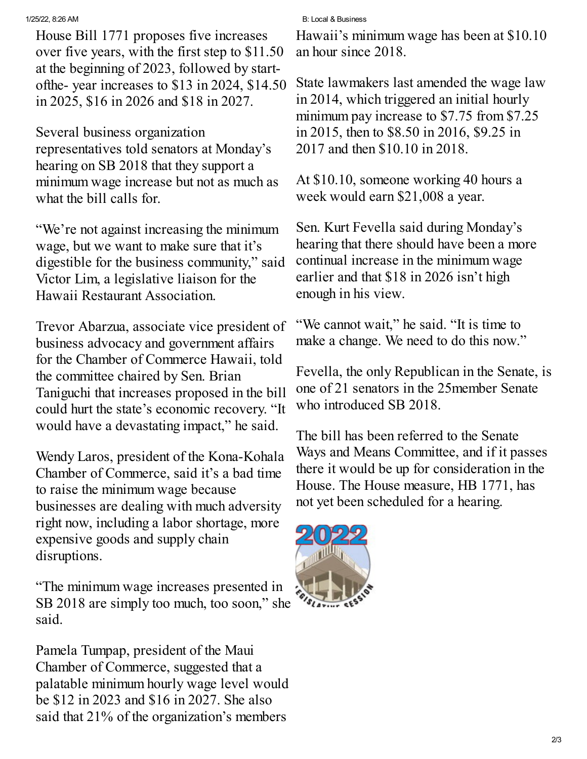House Bill 1771 proposes five increases over five years, with the first step to \$11.50 at the beginning of 2023, followed by startofthe- year increases to \$13 in 2024, \$14.50 in 2025, \$16 in 2026 and \$18 in 2027.

Several business organization representatives told senators at Monday's hearing on SB 2018 that they support a minimum wage increase but not as much as what the bill calls for.

"We're not against increasing the minimum wage, but we want to make sure that it's digestible for the business community," said Victor Lim, a legislative liaison for the Hawaii Restaurant Association.

Trevor Abarzua, associate vice president of business advocacy and government affairs for the Chamber of Commerce Hawaii, told the committee chaired by Sen. Brian Taniguchi that increases proposed in the bill could hurt the state's economic recovery. "It would have a devastating impact," he said.

Wendy Laros, president of the Kona-Kohala Chamber of Commerce, said it's a bad time to raise the minimum wage because businesses are dealing with much adversity right now, including a labor shortage, more expensive goods and supply chain disruptions.

"The minimum wage increases presented in SB 2018 are simply too much, too soon," she said.

Pamela Tumpap, president of the Maui Chamber of Commerce, suggested that a palatable minimum hourly wage level would be \$12 in 2023 and \$16 in 2027. She also said that 21% of the organization's members

#### 1/25/22, 8:26 AM B: Local & Business

Hawaii's minimum wage has been at \$10.10 an hour since 2018.

State lawmakers last amended the wage law in 2014, which triggered an initial hourly minimum pay increase to \$7.75 from \$7.25 in 2015, then to \$8.50 in 2016, \$9.25 in 2017 and then \$10.10 in 2018.

At \$10.10, someone working 40 hours a week would earn \$21,008 a year.

Sen. Kurt Fevella said during Monday's hearing that there should have been a more continual increase in the minimum wage earlier and that \$18 in 2026 isn't high enough in his view.

"We cannot wait," he said. "It is time to make a change. We need to do this now."

Fevella, the only Republican in the Senate, is one of 21 senators in the 25member Senate who introduced SB 2018.

The bill has been referred to the Senate Ways and Means Committee, and if it passes there it would be up for consideration in the House. The House measure, HB 1771, has not yet been scheduled for a hearing.